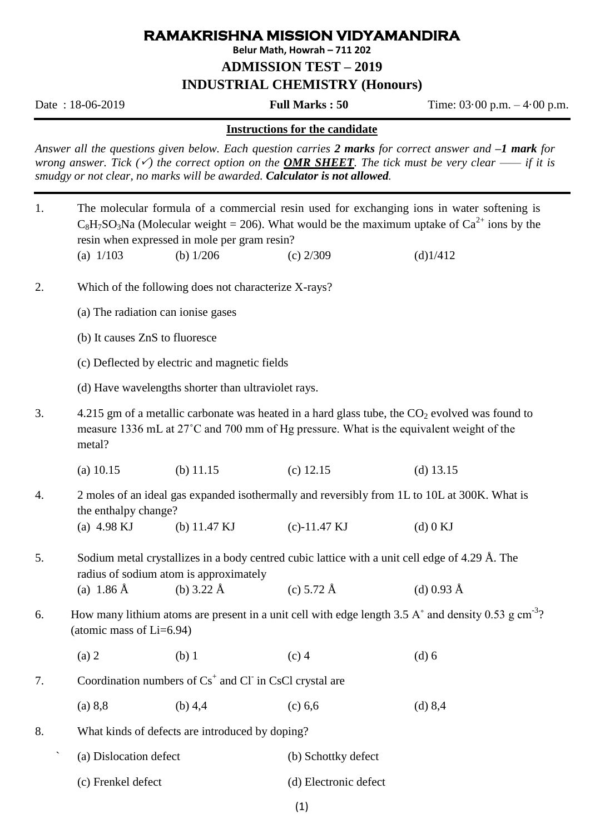## **RAMAKRISHNA MISSION VIDYAMANDIRA**

**Belur Math, Howrah – 711 202**

**ADMISSION TEST – 2019**

**INDUSTRIAL CHEMISTRY (Honours)**

Date : 18-06-2019 **Full Marks : 50** Time: 03·00 p.m. – 4·00 p.m.

## **Instructions for the candidate**

*Answer all the questions given below. Each question carries 2 marks for correct answer and –1 mark for wrong answer. Tick*  $(\check{\phantom{x}})$  *the correct option on the OMR SHEET. The tick must be very clear —— if it is smudgy or not clear, no marks will be awarded. Calculator is not allowed.* 

| 1.                                                                                                                         | The molecular formula of a commercial resin used for exchanging ions in water softening is<br>$C_8H_7SO_3Na$ (Molecular weight = 206). What would be the maximum uptake of $Ca^{2+}$ ions by the<br>resin when expressed in mole per gram resin? |                                                                                                                                                                                             |                      |             |  |  |
|----------------------------------------------------------------------------------------------------------------------------|--------------------------------------------------------------------------------------------------------------------------------------------------------------------------------------------------------------------------------------------------|---------------------------------------------------------------------------------------------------------------------------------------------------------------------------------------------|----------------------|-------------|--|--|
|                                                                                                                            | (a) $1/103$                                                                                                                                                                                                                                      | (b) $1/206$                                                                                                                                                                                 | $(c)$ 2/309          | (d)1/412    |  |  |
| 2.                                                                                                                         | Which of the following does not characterize X-rays?                                                                                                                                                                                             |                                                                                                                                                                                             |                      |             |  |  |
|                                                                                                                            | (a) The radiation can ionise gases                                                                                                                                                                                                               |                                                                                                                                                                                             |                      |             |  |  |
|                                                                                                                            | (b) It causes ZnS to fluoresce                                                                                                                                                                                                                   |                                                                                                                                                                                             |                      |             |  |  |
|                                                                                                                            | (c) Deflected by electric and magnetic fields                                                                                                                                                                                                    |                                                                                                                                                                                             |                      |             |  |  |
|                                                                                                                            | (d) Have wavelengths shorter than ultraviolet rays.                                                                                                                                                                                              |                                                                                                                                                                                             |                      |             |  |  |
| 3.                                                                                                                         | metal?                                                                                                                                                                                                                                           | 4.215 gm of a metallic carbonate was heated in a hard glass tube, the $CO2$ evolved was found to<br>measure 1336 mL at 27°C and 700 mm of Hg pressure. What is the equivalent weight of the |                      |             |  |  |
|                                                                                                                            | $(a)$ 10.15                                                                                                                                                                                                                                      | (b) $11.15$                                                                                                                                                                                 | $(c)$ 12.15          | (d) $13.15$ |  |  |
| 2 moles of an ideal gas expanded isothermally and reversibly from 1L to 10L at 300K. What is<br>4.<br>the enthalpy change? |                                                                                                                                                                                                                                                  |                                                                                                                                                                                             |                      |             |  |  |
|                                                                                                                            | (a) $4.98 \text{ KJ}$                                                                                                                                                                                                                            | (b) $11.47 \text{ KJ}$                                                                                                                                                                      | $(c) - 11.47$ KJ     | $(d)$ 0 KJ  |  |  |
| 5.                                                                                                                         | Sodium metal crystallizes in a body centred cubic lattice with a unit cell edge of 4.29 Å. The<br>radius of sodium atom is approximately                                                                                                         |                                                                                                                                                                                             |                      |             |  |  |
|                                                                                                                            | (a) $1.86 \text{ Å}$                                                                                                                                                                                                                             | (b) $3.22 \text{ Å}$                                                                                                                                                                        | (c) $5.72 \text{ Å}$ | (d) 0.93 Å  |  |  |
| 6.                                                                                                                         | How many lithium atoms are present in a unit cell with edge length 3.5 A $^{\circ}$ and density 0.53 g cm <sup>-3</sup> ?<br>(atomic mass of $Li=6.94$ )                                                                                         |                                                                                                                                                                                             |                      |             |  |  |
|                                                                                                                            | (a) 2                                                                                                                                                                                                                                            | $(b)$ 1                                                                                                                                                                                     | $(c)$ 4              | $(d)$ 6     |  |  |
| 7.                                                                                                                         | Coordination numbers of $Cs+$ and Cl in CsCl crystal are                                                                                                                                                                                         |                                                                                                                                                                                             |                      |             |  |  |
|                                                                                                                            | (a) 8,8                                                                                                                                                                                                                                          | (b) $4,4$                                                                                                                                                                                   | (c) 6,6              | (d) 8,4     |  |  |
| 8.                                                                                                                         | What kinds of defects are introduced by doping?                                                                                                                                                                                                  |                                                                                                                                                                                             |                      |             |  |  |
| $\boldsymbol{\checkmark}$                                                                                                  | (a) Dislocation defect                                                                                                                                                                                                                           |                                                                                                                                                                                             | (b) Schottky defect  |             |  |  |
|                                                                                                                            |                                                                                                                                                                                                                                                  |                                                                                                                                                                                             |                      |             |  |  |

(1)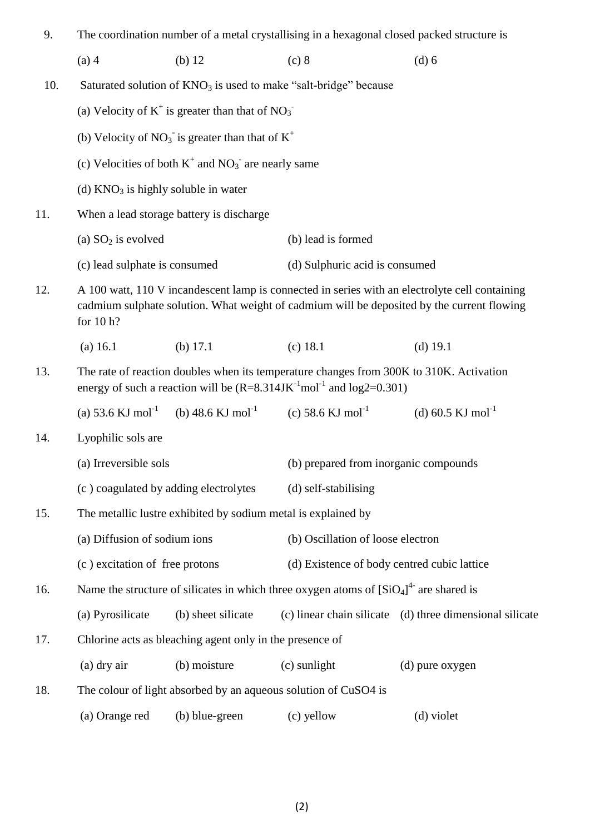| 9.                                                                                                                                                                                                               | The coordination number of a metal crystallising in a hexagonal closed packed structure is          |                                                                     |                                             |                                                          |  |  |
|------------------------------------------------------------------------------------------------------------------------------------------------------------------------------------------------------------------|-----------------------------------------------------------------------------------------------------|---------------------------------------------------------------------|---------------------------------------------|----------------------------------------------------------|--|--|
|                                                                                                                                                                                                                  | $(a)$ 4                                                                                             | $(b)$ 12                                                            | (c) 8                                       | (d) 6                                                    |  |  |
| 10.                                                                                                                                                                                                              |                                                                                                     | Saturated solution of $KNO_3$ is used to make "salt-bridge" because |                                             |                                                          |  |  |
|                                                                                                                                                                                                                  | (a) Velocity of $K^+$ is greater than that of $NO_3^-$                                              |                                                                     |                                             |                                                          |  |  |
|                                                                                                                                                                                                                  | (b) Velocity of $NO_3$ is greater than that of $K^+$                                                |                                                                     |                                             |                                                          |  |  |
|                                                                                                                                                                                                                  | (c) Velocities of both $K^+$ and $NO_3^-$ are nearly same                                           |                                                                     |                                             |                                                          |  |  |
|                                                                                                                                                                                                                  | (d) $KNO3$ is highly soluble in water                                                               |                                                                     |                                             |                                                          |  |  |
| 11.                                                                                                                                                                                                              | When a lead storage battery is discharge                                                            |                                                                     |                                             |                                                          |  |  |
|                                                                                                                                                                                                                  | (a) $SO_2$ is evolved                                                                               |                                                                     | (b) lead is formed                          |                                                          |  |  |
|                                                                                                                                                                                                                  | (c) lead sulphate is consumed                                                                       |                                                                     | (d) Sulphuric acid is consumed              |                                                          |  |  |
| A 100 watt, 110 V incandescent lamp is connected in series with an electrolyte cell containing<br>12.<br>cadmium sulphate solution. What weight of cadmium will be deposited by the current flowing<br>for 10 h? |                                                                                                     |                                                                     |                                             |                                                          |  |  |
|                                                                                                                                                                                                                  | (a) 16.1                                                                                            | (b) $17.1$                                                          | $(c)$ 18.1                                  | $(d)$ 19.1                                               |  |  |
| The rate of reaction doubles when its temperature changes from 300K to 310K. Activation<br>13.<br>energy of such a reaction will be $(R=8.314JK^{-1}mol^{-1}$ and $log2=0.301)$                                  |                                                                                                     |                                                                     |                                             |                                                          |  |  |
|                                                                                                                                                                                                                  | (a) 53.6 KJ mol <sup>-1</sup>                                                                       | (b) 48.6 KJ mol <sup>-1</sup>                                       | (c) 58.6 KJ mol <sup>-1</sup>               | (d) 60.5 KJ mol <sup>-1</sup>                            |  |  |
| 14.                                                                                                                                                                                                              | Lyophilic sols are                                                                                  |                                                                     |                                             |                                                          |  |  |
|                                                                                                                                                                                                                  | (a) Irreversible sols                                                                               |                                                                     | (b) prepared from inorganic compounds       |                                                          |  |  |
|                                                                                                                                                                                                                  | (c) coagulated by adding electrolytes                                                               |                                                                     | (d) self-stabilising                        |                                                          |  |  |
| 15.                                                                                                                                                                                                              | The metallic lustre exhibited by sodium metal is explained by                                       |                                                                     |                                             |                                                          |  |  |
|                                                                                                                                                                                                                  | (a) Diffusion of sodium ions                                                                        |                                                                     | (b) Oscillation of loose electron           |                                                          |  |  |
|                                                                                                                                                                                                                  | (c) excitation of free protons                                                                      |                                                                     | (d) Existence of body centred cubic lattice |                                                          |  |  |
| 16.                                                                                                                                                                                                              | Name the structure of silicates in which three oxygen atoms of $[SiO4]$ <sup>4-</sup> are shared is |                                                                     |                                             |                                                          |  |  |
|                                                                                                                                                                                                                  | (a) Pyrosilicate                                                                                    | (b) sheet silicate                                                  |                                             | (c) linear chain silicate (d) three dimensional silicate |  |  |
| 17.                                                                                                                                                                                                              | Chlorine acts as bleaching agent only in the presence of                                            |                                                                     |                                             |                                                          |  |  |
|                                                                                                                                                                                                                  | (a) dry air                                                                                         | (b) moisture                                                        | (c) sunlight                                | (d) pure oxygen                                          |  |  |
| 18.                                                                                                                                                                                                              | The colour of light absorbed by an aqueous solution of CuSO4 is                                     |                                                                     |                                             |                                                          |  |  |
|                                                                                                                                                                                                                  | (a) Orange red                                                                                      | (b) blue-green                                                      | (c) yellow                                  | (d) violet                                               |  |  |
|                                                                                                                                                                                                                  |                                                                                                     |                                                                     |                                             |                                                          |  |  |